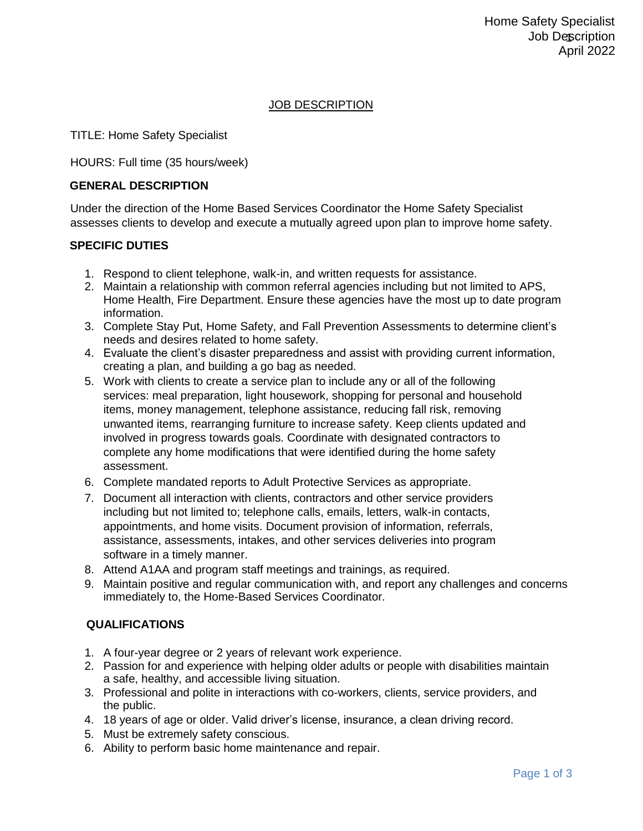### JOB DESCRIPTION

TITLE: Home Safety Specialist

HOURS: Full time (35 hours/week)

#### **GENERAL DESCRIPTION**

Under the direction of the Home Based Services Coordinator the Home Safety Specialist assesses clients to develop and execute a mutually agreed upon plan to improve home safety.

### **SPECIFIC DUTIES**

- 1. Respond to client telephone, walk-in, and written requests for assistance.
- 2. Maintain a relationship with common referral agencies including but not limited to APS, Home Health, Fire Department. Ensure these agencies have the most up to date program information.
- 3. Complete Stay Put, Home Safety, and Fall Prevention Assessments to determine client's needs and desires related to home safety.
- 4. Evaluate the client's disaster preparedness and assist with providing current information, creating a plan, and building a go bag as needed.
- 5. Work with clients to create a service plan to include any or all of the following services: meal preparation, light housework, shopping for personal and household items, money management, telephone assistance, reducing fall risk, removing unwanted items, rearranging furniture to increase safety. Keep clients updated and involved in progress towards goals. Coordinate with designated contractors to complete any home modifications that were identified during the home safety assessment.
- 6. Complete mandated reports to Adult Protective Services as appropriate.
- 7. Document all interaction with clients, contractors and other service providers including but not limited to; telephone calls, emails, letters, walk-in contacts, appointments, and home visits. Document provision of information, referrals, assistance, assessments, intakes, and other services deliveries into program software in a timely manner.
- 8. Attend A1AA and program staff meetings and trainings, as required.
- 9. Maintain positive and regular communication with, and report any challenges and concerns immediately to, the Home-Based Services Coordinator.

## **QUALIFICATIONS**

- 1. A four-year degree or 2 years of relevant work experience.
- 2. Passion for and experience with helping older adults or people with disabilities maintain a safe, healthy, and accessible living situation.
- 3. Professional and polite in interactions with co-workers, clients, service providers, and the public.
- 4. 18 years of age or older. Valid driver's license, insurance, a clean driving record.
- 5. Must be extremely safety conscious.
- 6. Ability to perform basic home maintenance and repair.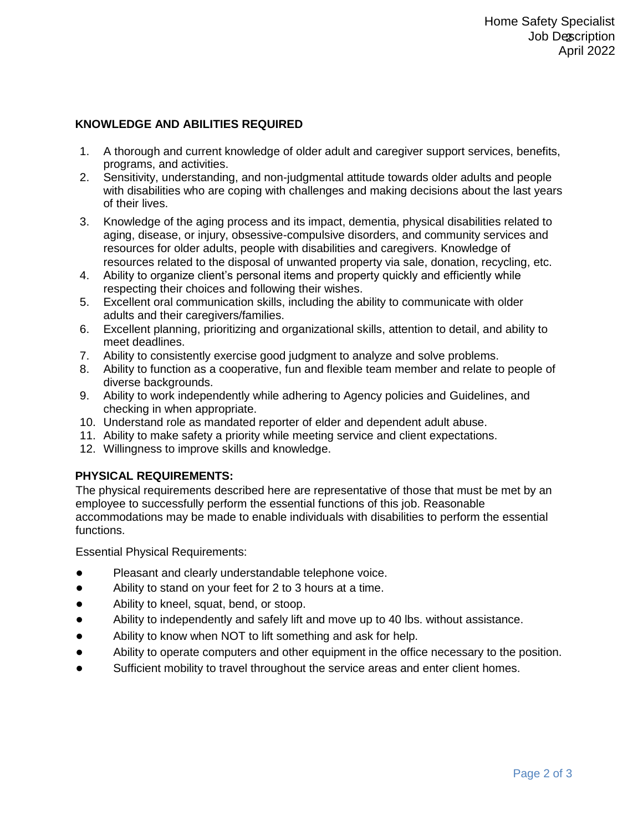# **KNOWLEDGE AND ABILITIES REQUIRED**

- 1. A thorough and current knowledge of older adult and caregiver support services, benefits, programs, and activities.
- 2. Sensitivity, understanding, and non-judgmental attitude towards older adults and people with disabilities who are coping with challenges and making decisions about the last years of their lives.
- 3. Knowledge of the aging process and its impact, dementia, physical disabilities related to aging, disease, or injury, obsessive-compulsive disorders, and community services and resources for older adults, people with disabilities and caregivers. Knowledge of resources related to the disposal of unwanted property via sale, donation, recycling, etc.
- 4. Ability to organize client's personal items and property quickly and efficiently while respecting their choices and following their wishes.
- 5. Excellent oral communication skills, including the ability to communicate with older adults and their caregivers/families.
- 6. Excellent planning, prioritizing and organizational skills, attention to detail, and ability to meet deadlines.
- 7. Ability to consistently exercise good judgment to analyze and solve problems.
- 8. Ability to function as a cooperative, fun and flexible team member and relate to people of diverse backgrounds.
- 9. Ability to work independently while adhering to Agency policies and Guidelines, and checking in when appropriate.
- 10. Understand role as mandated reporter of elder and dependent adult abuse.
- 11. Ability to make safety a priority while meeting service and client expectations.
- 12. Willingness to improve skills and knowledge.

## **PHYSICAL REQUIREMENTS:**

The physical requirements described here are representative of those that must be met by an employee to successfully perform the essential functions of this job. Reasonable accommodations may be made to enable individuals with disabilities to perform the essential functions.

Essential Physical Requirements:

- Pleasant and clearly understandable telephone voice.
- Ability to stand on your feet for 2 to 3 hours at a time.
- Ability to kneel, squat, bend, or stoop.
- Ability to independently and safely lift and move up to 40 lbs. without assistance.
- Ability to know when NOT to lift something and ask for help.
- Ability to operate computers and other equipment in the office necessary to the position.
- Sufficient mobility to travel throughout the service areas and enter client homes.